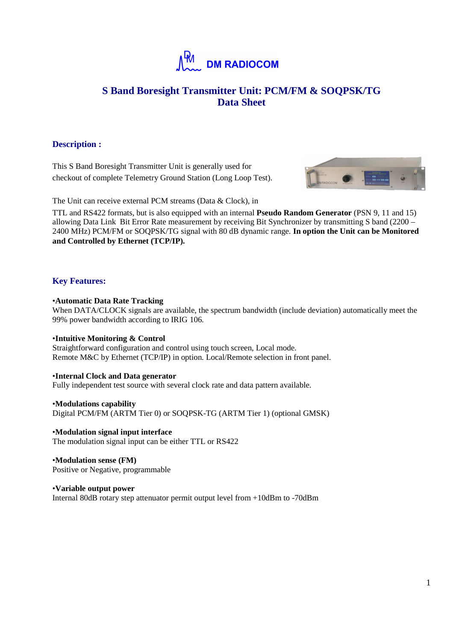

# **S Band Boresight Transmitter Unit: PCM/FM & SOQPSK/TG Data Sheet**

## **Description :**

This S Band Boresight Transmitter Unit is generally used for checkout of complete Telemetry Ground Station (Long Loop Test).



The Unit can receive external PCM streams (Data & Clock), in

TTL and RS422 formats, but is also equipped with an internal **Pseudo Random Generator** (PSN 9, 11 and 15) allowing Data Link Bit Error Rate measurement by receiving Bit Synchronizer by transmitting S band (2200 – 2400 MHz) PCM/FM or SOQPSK/TG signal with 80 dB dynamic range. **In option the Unit can be Monitored and Controlled by Ethernet (TCP/IP).** 

# **Key Features:**

## •**Automatic Data Rate Tracking**

When DATA/CLOCK signals are available, the spectrum bandwidth (include deviation) automatically meet the 99% power bandwidth according to IRIG 106.

## •**Intuitive Monitoring & Control**

Straightforward configuration and control using touch screen, Local mode. Remote M&C by Ethernet (TCP/IP) in option. Local/Remote selection in front panel.

## •**Internal Clock and Data generator**

Fully independent test source with several clock rate and data pattern available.

## •**Modulations capability**

Digital PCM/FM (ARTM Tier 0) or SOQPSK-TG (ARTM Tier 1) (optional GMSK)

•**Modulation signal input interface**  The modulation signal input can be either TTL or RS422

•**Modulation sense (FM)**  Positive or Negative, programmable

•**Variable output power**  Internal 80dB rotary step attenuator permit output level from +10dBm to -70dBm